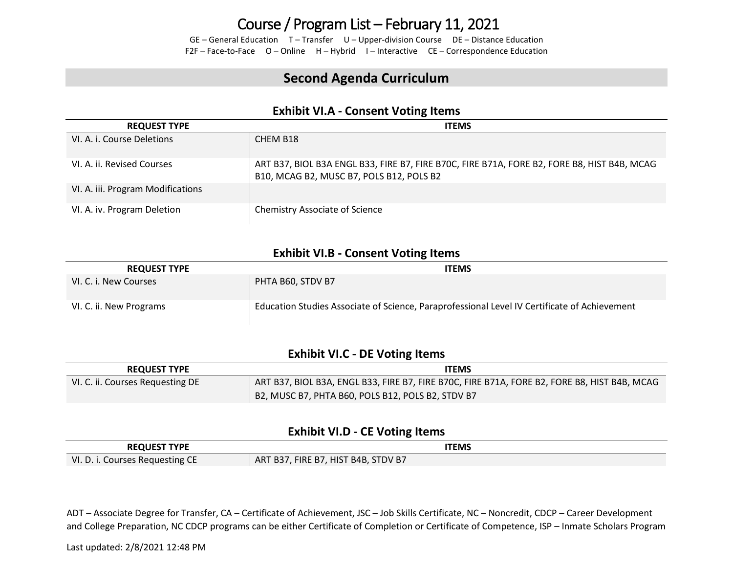### Course / Program List – February 11, 2021

GE – General Education T – Transfer U – Upper-division Course DE – Distance Education F2F – Face-to-Face O – Online H – Hybrid I – Interactive CE – Correspondence Education

### **Second Agenda Curriculum**

### **Exhibit VI.A - Consent Voting Items**

| <b>REQUEST TYPE</b>               | <b>ITEMS</b>                                                                                                                            |
|-----------------------------------|-----------------------------------------------------------------------------------------------------------------------------------------|
| VI. A. i. Course Deletions        | CHEM B <sub>18</sub>                                                                                                                    |
| VI. A. ii. Revised Courses        | ART B37, BIOL B3A ENGL B33, FIRE B7, FIRE B70C, FIRE B71A, FORE B2, FORE B8, HIST B4B, MCAG<br>B10, MCAG B2, MUSC B7, POLS B12, POLS B2 |
| VI. A. iii. Program Modifications |                                                                                                                                         |
| VI. A. iv. Program Deletion       | <b>Chemistry Associate of Science</b>                                                                                                   |

### **Exhibit VI.B - Consent Voting Items**

| <b>REQUEST TYPE</b>     | <b>ITEMS</b>                                                                                 |
|-------------------------|----------------------------------------------------------------------------------------------|
| VI. C. i. New Courses   | PHTA B60. STDV B7                                                                            |
| VI. C. ii. New Programs | Education Studies Associate of Science, Paraprofessional Level IV Certificate of Achievement |

#### **Exhibit VI.C - DE Voting Items**

| <b>REQUEST TYPE</b>              | <b>ITEMS</b>                                                                                 |  |  |  |
|----------------------------------|----------------------------------------------------------------------------------------------|--|--|--|
| VI. C. ii. Courses Requesting DE | ART B37, BIOL B3A, ENGL B33, FIRE B7, FIRE B70C, FIRE B71A, FORE B2, FORE B8, HIST B4B, MCAG |  |  |  |
|                                  | B2, MUSC B7, PHTA B60, POLS B12, POLS B2, STDV B7                                            |  |  |  |

#### **Exhibit VI.D - CE Voting Items**

| <b>REQUEST TYPE</b>             | ITEMS                               |
|---------------------------------|-------------------------------------|
| VI. D. i. Courses Requesting CE | ART B37, FIRE B7, HIST B4B, STDV B7 |

ADT – Associate Degree for Transfer, CA – Certificate of Achievement, JSC – Job Skills Certificate, NC – Noncredit, CDCP – Career Development and College Preparation, NC CDCP programs can be either Certificate of Completion or Certificate of Competence, ISP – Inmate Scholars Program

Last updated: 2/8/2021 12:48 PM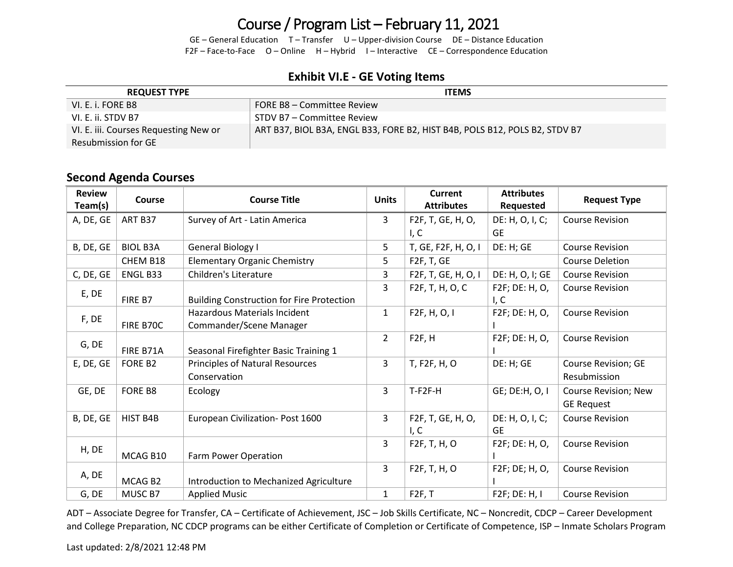# Course / Program List – February 11, 2021

GE – General Education T – Transfer U – Upper-division Course DE – Distance Education F2F – Face-to-Face O – Online H – Hybrid I – Interactive CE – Correspondence Education

### **Exhibit VI.E - GE Voting Items**

| <b>REQUEST TYPE</b>                   | <b>ITEMS</b>                                                               |  |  |
|---------------------------------------|----------------------------------------------------------------------------|--|--|
| VI. E. i. FORE B8                     | FORE B8 - Committee Review                                                 |  |  |
| VI. E. ii. STDV B7                    | STDV B7 – Committee Review                                                 |  |  |
| VI. E. iii. Courses Requesting New or | ART B37, BIOL B3A, ENGL B33, FORE B2, HIST B4B, POLS B12, POLS B2, STDV B7 |  |  |
| Resubmission for GE                   |                                                                            |  |  |

### **Second Agenda Courses**

| <b>Review</b><br>Team(s) | Course          | <b>Course Title</b>                                            | <b>Units</b>   | <b>Current</b><br><b>Attributes</b> | <b>Attributes</b><br>Requested | <b>Request Type</b>                        |
|--------------------------|-----------------|----------------------------------------------------------------|----------------|-------------------------------------|--------------------------------|--------------------------------------------|
| A, DE, GE                | ART B37         | Survey of Art - Latin America                                  | $\overline{3}$ | F2F, T, GE, H, O,                   | DE: H, O, I, C;                | <b>Course Revision</b>                     |
|                          |                 |                                                                |                | I, C                                | <b>GE</b>                      |                                            |
| B, DE, GE                | <b>BIOL B3A</b> | General Biology I                                              | 5              | T, GE, F2F, H, O, I                 | DE: H; GE                      | <b>Course Revision</b>                     |
|                          | CHEM B18        | <b>Elementary Organic Chemistry</b>                            | 5              | F <sub>2</sub> F, T, GE             |                                | <b>Course Deletion</b>                     |
| C, DE, GE                | ENGL B33        | Children's Literature                                          | 3              | F2F, T, GE, H, O, I                 | DE: H, O, I; GE                | <b>Course Revision</b>                     |
| E, DE                    | FIRE B7         | <b>Building Construction for Fire Protection</b>               | $\overline{3}$ | F2F, T, H, O, C                     | F2F; DE: H, O,<br>I, C         | <b>Course Revision</b>                     |
| F, DE                    | FIRE B70C       | <b>Hazardous Materials Incident</b><br>Commander/Scene Manager | $\mathbf{1}$   | F2F, H, O, I                        | F2F; DE: H, O,                 | <b>Course Revision</b>                     |
| G, DE                    | FIRE B71A       | Seasonal Firefighter Basic Training 1                          | $\overline{2}$ | F <sub>2F</sub> , H                 | F2F; DE: H, O,                 | <b>Course Revision</b>                     |
| E, DE, GE                | FORE B2         | Principles of Natural Resources<br>Conservation                | $\overline{3}$ | T, F2F, H, O                        | DE: H; GE                      | <b>Course Revision; GE</b><br>Resubmission |
| GE, DE                   | FORE B8         | Ecology                                                        | $\overline{3}$ | $T-F2F-H$                           | GE; DE:H, O, I                 | Course Revision; New<br><b>GE Request</b>  |
| B, DE, GE                | HIST B4B        | European Civilization- Post 1600                               | $\overline{3}$ | F2F, T, GE, H, O,<br>I, C           | DE: H, O, I, C;<br><b>GE</b>   | <b>Course Revision</b>                     |
| H, DE                    | MCAG B10        | Farm Power Operation                                           | 3              | F2F, T, H, O                        | F2F; DE: H, O,                 | <b>Course Revision</b>                     |
| A, DE                    | MCAG B2         | Introduction to Mechanized Agriculture                         | $\overline{3}$ | F2F, T, H, O                        | F2F; DE; H, O,                 | <b>Course Revision</b>                     |
| G, DE                    | MUSC B7         | <b>Applied Music</b>                                           | $\mathbf{1}$   | F2F, T                              | F2F; DE: H, I                  | <b>Course Revision</b>                     |

ADT – Associate Degree for Transfer, CA – Certificate of Achievement, JSC – Job Skills Certificate, NC – Noncredit, CDCP – Career Development and College Preparation, NC CDCP programs can be either Certificate of Completion or Certificate of Competence, ISP – Inmate Scholars Program